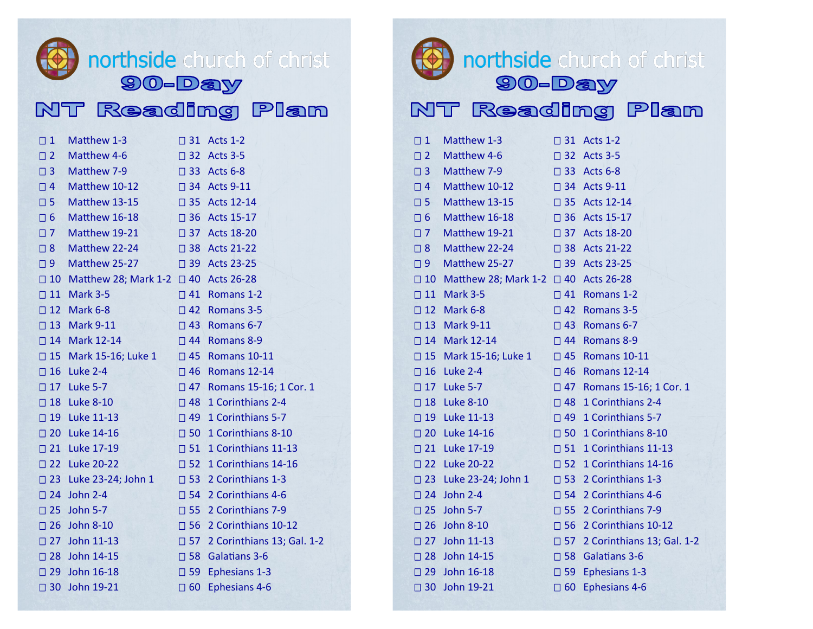